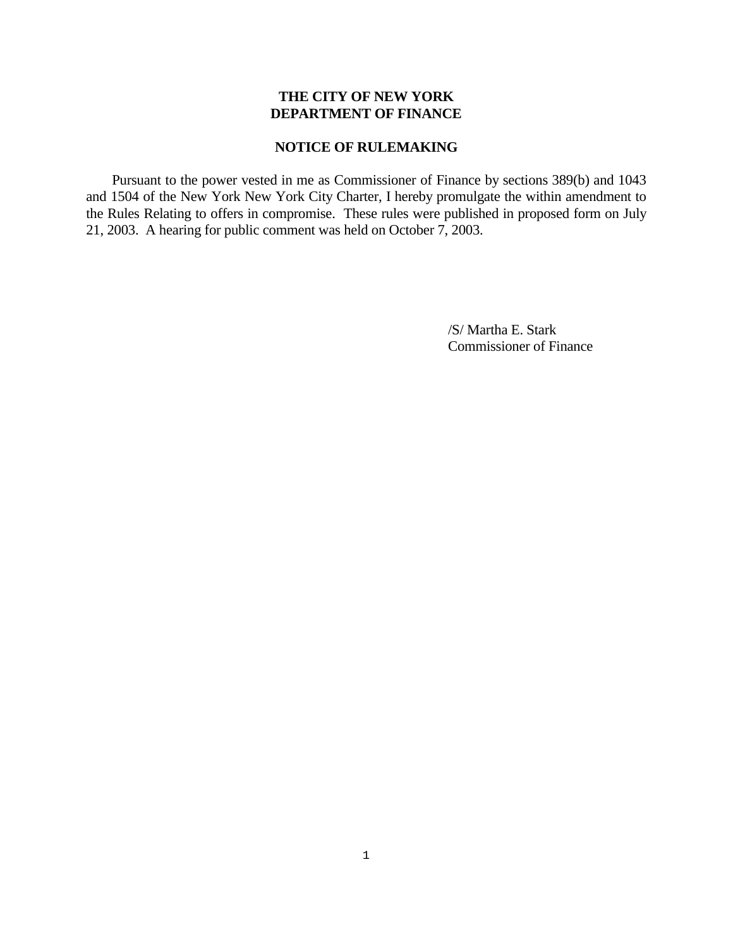# **THE CITY OF NEW YORK DEPARTMENT OF FINANCE**

# **NOTICE OF RULEMAKING**

 Pursuant to the power vested in me as Commissioner of Finance by sections 389(b) and 1043 and 1504 of the New York New York City Charter, I hereby promulgate the within amendment to the Rules Relating to offers in compromise. These rules were published in proposed form on July 21, 2003. A hearing for public comment was held on October 7, 2003.

> /S/ Martha E. Stark Commissioner of Finance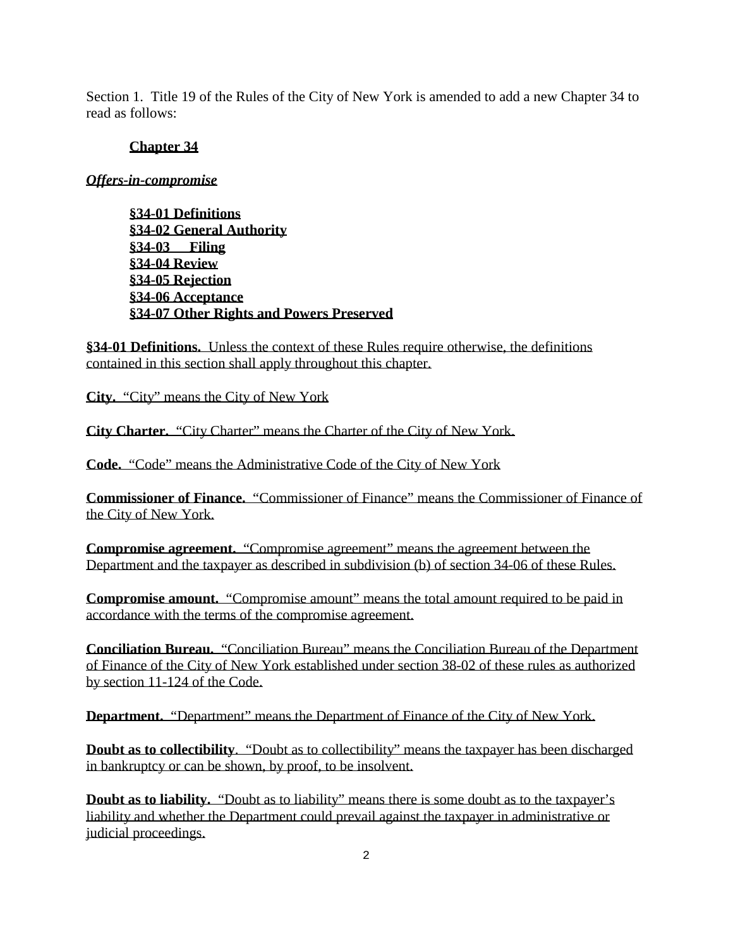Section 1. Title 19 of the Rules of the City of New York is amended to add a new Chapter 34 to read as follows:

### **Chapter 34**

### *Offers-in-compromise*

**§34-01 Definitions §34-02 General Authority §34-03 Filing §34-04 Review §34-05 Rejection §34-06 Acceptance §34-07 Other Rights and Powers Preserved**

**§34-01 Definitions.** Unless the context of these Rules require otherwise, the definitions contained in this section shall apply throughout this chapter.

**City.** "City" means the City of New York

**City Charter.** "City Charter" means the Charter of the City of New York.

**Code.** "Code" means the Administrative Code of the City of New York

**Commissioner of Finance.** "Commissioner of Finance" means the Commissioner of Finance of the City of New York.

**Compromise agreement.** "Compromise agreement" means the agreement between the Department and the taxpayer as described in subdivision (b) of section 34-06 of these Rules.

**Compromise amount.** "Compromise amount" means the total amount required to be paid in accordance with the terms of the compromise agreement.

**Conciliation Bureau.** "Conciliation Bureau" means the Conciliation Bureau of the Department of Finance of the City of New York established under section 38-02 of these rules as authorized by section 11-124 of the Code.

**Department.** "Department" means the Department of Finance of the City of New York.

**Doubt as to collectibility**. "Doubt as to collectibility" means the taxpayer has been discharged in bankruptcy or can be shown, by proof, to be insolvent.

**Doubt as to liability.** "Doubt as to liability" means there is some doubt as to the taxpayer's liability and whether the Department could prevail against the taxpayer in administrative or judicial proceedings.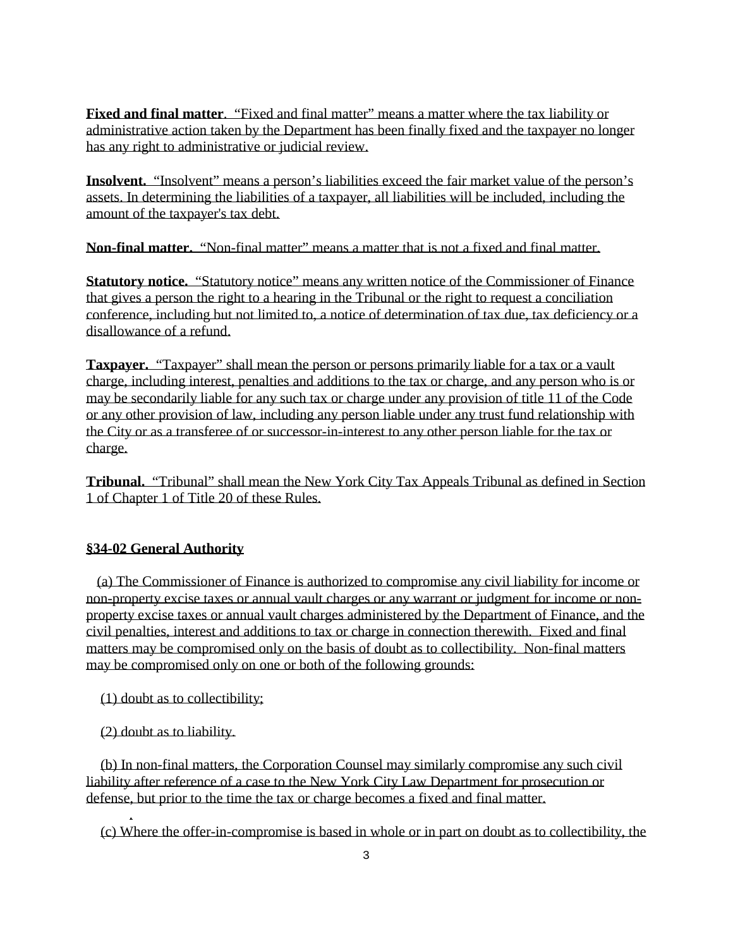**Fixed and final matter**. "Fixed and final matter" means a matter where the tax liability or administrative action taken by the Department has been finally fixed and the taxpayer no longer has any right to administrative or judicial review.

**Insolvent.** "Insolvent" means a person's liabilities exceed the fair market value of the person's assets. In determining the liabilities of a taxpayer, all liabilities will be included, including the amount of the taxpayer's tax debt.

**Non-final matter.** "Non-final matter" means a matter that is not a fixed and final matter.

**Statutory notice.** "Statutory notice" means any written notice of the Commissioner of Finance that gives a person the right to a hearing in the Tribunal or the right to request a conciliation conference, including but not limited to, a notice of determination of tax due, tax deficiency or a disallowance of a refund.

**Taxpayer.** "Taxpayer" shall mean the person or persons primarily liable for a tax or a vault charge, including interest, penalties and additions to the tax or charge, and any person who is or may be secondarily liable for any such tax or charge under any provision of title 11 of the Code or any other provision of law, including any person liable under any trust fund relationship with the City or as a transferee of or successor-in-interest to any other person liable for the tax or charge.

**Tribunal.** "Tribunal" shall mean the New York City Tax Appeals Tribunal as defined in Section 1 of Chapter 1 of Title 20 of these Rules.

# **§34-02 General Authority**

 (a) The Commissioner of Finance is authorized to compromise any civil liability for income or non-property excise taxes or annual vault charges or any warrant or judgment for income or nonproperty excise taxes or annual vault charges administered by the Department of Finance, and the civil penalties, interest and additions to tax or charge in connection therewith. Fixed and final matters may be compromised only on the basis of doubt as to collectibility. Non-final matters may be compromised only on one or both of the following grounds:

(1) doubt as to collectibility;

(2) doubt as to liability.

.

 (b) In non-final matters, the Corporation Counsel may similarly compromise any such civil liability after reference of a case to the New York City Law Department for prosecution or defense, but prior to the time the tax or charge becomes a fixed and final matter.

(c) Where the offer-in-compromise is based in whole or in part on doubt as to collectibility, the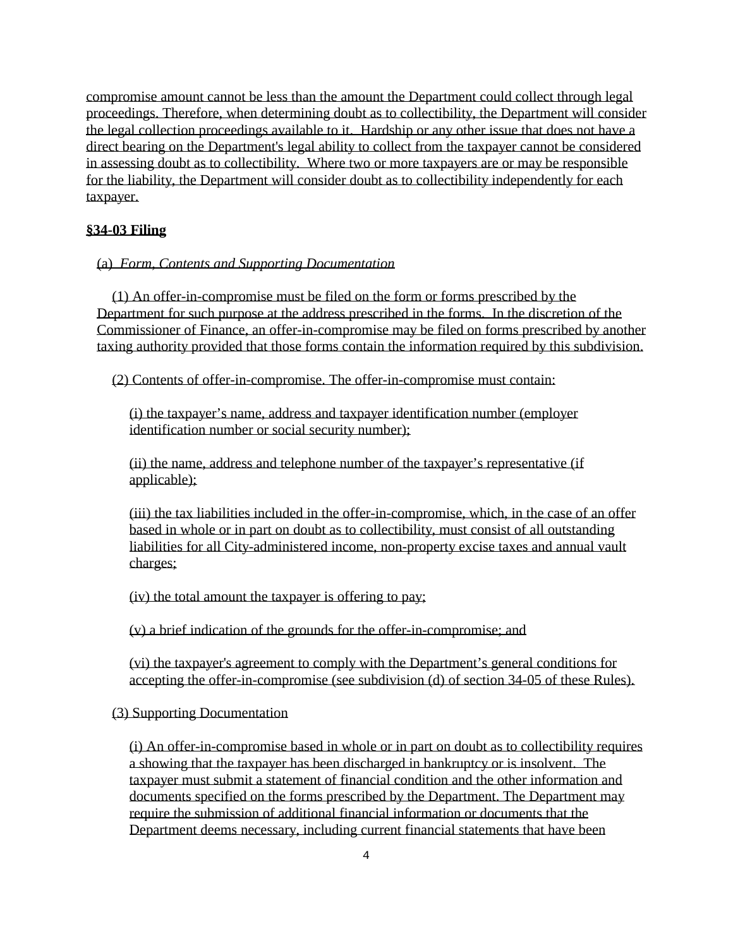compromise amount cannot be less than the amount the Department could collect through legal proceedings. Therefore, when determining doubt as to collectibility, the Department will consider the legal collection proceedings available to it. Hardship or any other issue that does not have a direct bearing on the Department's legal ability to collect from the taxpayer cannot be considered in assessing doubt as to collectibility. Where two or more taxpayers are or may be responsible for the liability, the Department will consider doubt as to collectibility independently for each taxpayer.

# **§34-03 Filing**

# (a) *Form, Contents and Supporting Documentation*

(1) An offer-in-compromise must be filed on the form or forms prescribed by the Department for such purpose at the address prescribed in the forms. In the discretion of the Commissioner of Finance, an offer-in-compromise may be filed on forms prescribed by another taxing authority provided that those forms contain the information required by this subdivision.

(2) Contents of offer-in-compromise. The offer-in-compromise must contain:

(i) the taxpayer's name, address and taxpayer identification number (employer identification number or social security number);

(ii) the name, address and telephone number of the taxpayer's representative (if applicable);

(iii) the tax liabilities included in the offer-in-compromise, which, in the case of an offer based in whole or in part on doubt as to collectibility, must consist of all outstanding liabilities for all City-administered income, non-property excise taxes and annual vault charges;

(iv) the total amount the taxpayer is offering to pay;

(v) a brief indication of the grounds for the offer-in-compromise; and

(vi) the taxpayer's agreement to comply with the Department's general conditions for accepting the offer-in-compromise (see subdivision (d) of section 34-05 of these Rules).

### (3) Supporting Documentation

(i) An offer-in-compromise based in whole or in part on doubt as to collectibility requires a showing that the taxpayer has been discharged in bankruptcy or is insolvent. The taxpayer must submit a statement of financial condition and the other information and documents specified on the forms prescribed by the Department. The Department may require the submission of additional financial information or documents that the Department deems necessary, including current financial statements that have been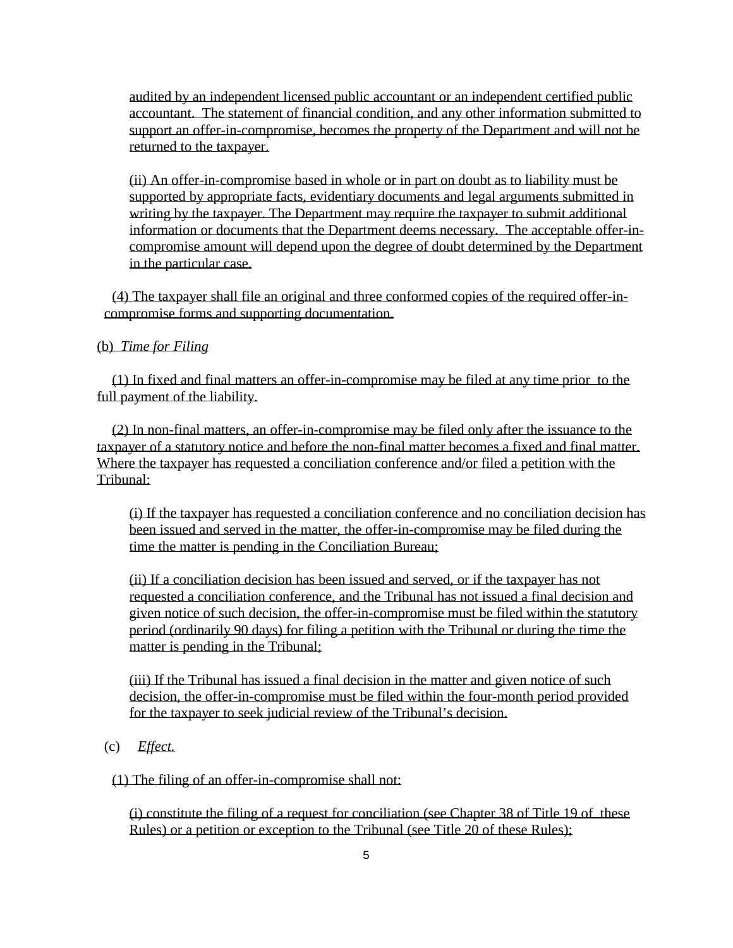audited by an independent licensed public accountant or an independent certified public accountant. The statement of financial condition, and any other information submitted to support an offer-in-compromise, becomes the property of the Department and will not be returned to the taxpayer.

(ii) An offer-in-compromise based in whole or in part on doubt as to liability must be supported by appropriate facts, evidentiary documents and legal arguments submitted in writing by the taxpayer. The Department may require the taxpayer to submit additional information or documents that the Department deems necessary. The acceptable offer-incompromise amount will depend upon the degree of doubt determined by the Department in the particular case.

(4) The taxpayer shall file an original and three conformed copies of the required offer-incompromise forms and supporting documentation.

### (b) *Time for Filing*

(1) In fixed and final matters an offer-in-compromise may be filed at any time prior to the full payment of the liability.

(2) In non-final matters, an offer-in-compromise may be filed only after the issuance to the taxpayer of a statutory notice and before the non-final matter becomes a fixed and final matter. Where the taxpayer has requested a conciliation conference and/or filed a petition with the Tribunal:

(i) If the taxpayer has requested a conciliation conference and no conciliation decision has been issued and served in the matter, the offer-in-compromise may be filed during the time the matter is pending in the Conciliation Bureau;

(ii) If a conciliation decision has been issued and served, or if the taxpayer has not requested a conciliation conference, and the Tribunal has not issued a final decision and given notice of such decision, the offer-in-compromise must be filed within the statutory period (ordinarily 90 days) for filing a petition with the Tribunal or during the time the matter is pending in the Tribunal:

(iii) If the Tribunal has issued a final decision in the matter and given notice of such decision, the offer-in-compromise must be filed within the four-month period provided for the taxpayer to seek judicial review of the Tribunal's decision.

(c) *Effect.* 

(1) The filing of an offer-in-compromise shall not:

(i) constitute the filing of a request for conciliation (see Chapter 38 of Title 19 of these Rules) or a petition or exception to the Tribunal (see Title 20 of these Rules);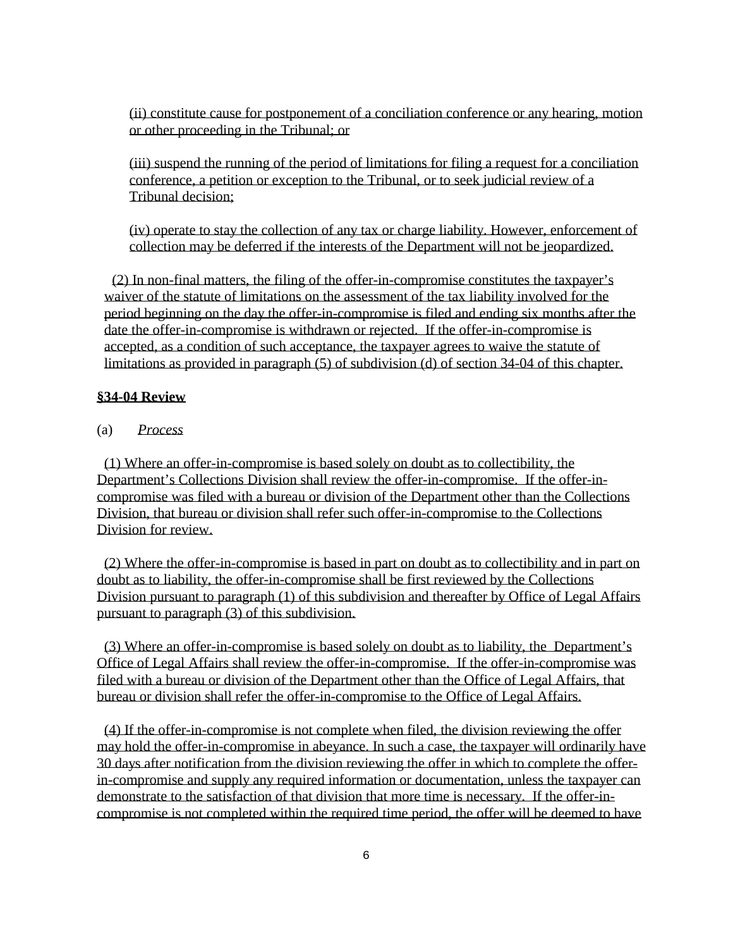(ii) constitute cause for postponement of a conciliation conference or any hearing, motion or other proceeding in the Tribunal; or

(iii) suspend the running of the period of limitations for filing a request for a conciliation conference, a petition or exception to the Tribunal, or to seek judicial review of a Tribunal decision;

(iv) operate to stay the collection of any tax or charge liability. However, enforcement of collection may be deferred if the interests of the Department will not be jeopardized.

(2) In non-final matters, the filing of the offer-in-compromise constitutes the taxpayer's waiver of the statute of limitations on the assessment of the tax liability involved for the period beginning on the day the offer-in-compromise is filed and ending six months after the date the offer-in-compromise is withdrawn or rejected. If the offer-in-compromise is accepted, as a condition of such acceptance, the taxpayer agrees to waive the statute of limitations as provided in paragraph (5) of subdivision (d) of section 34-04 of this chapter.

## **§34-04 Review**

### (a) *Process*

(1) Where an offer-in-compromise is based solely on doubt as to collectibility, the Department's Collections Division shall review the offer-in-compromise. If the offer-incompromise was filed with a bureau or division of the Department other than the Collections Division, that bureau or division shall refer such offer-in-compromise to the Collections Division for review.

(2) Where the offer-in-compromise is based in part on doubt as to collectibility and in part on doubt as to liability, the offer-in-compromise shall be first reviewed by the Collections Division pursuant to paragraph (1) of this subdivision and thereafter by Office of Legal Affairs pursuant to paragraph (3) of this subdivision.

(3) Where an offer-in-compromise is based solely on doubt as to liability, the Department's Office of Legal Affairs shall review the offer-in-compromise. If the offer-in-compromise was filed with a bureau or division of the Department other than the Office of Legal Affairs, that bureau or division shall refer the offer-in-compromise to the Office of Legal Affairs.

(4) If the offer-in-compromise is not complete when filed, the division reviewing the offer may hold the offer-in-compromise in abeyance. In such a case, the taxpayer will ordinarily have 30 days after notification from the division reviewing the offer in which to complete the offerin-compromise and supply any required information or documentation, unless the taxpayer can demonstrate to the satisfaction of that division that more time is necessary. If the offer-incompromise is not completed within the required time period, the offer will be deemed to have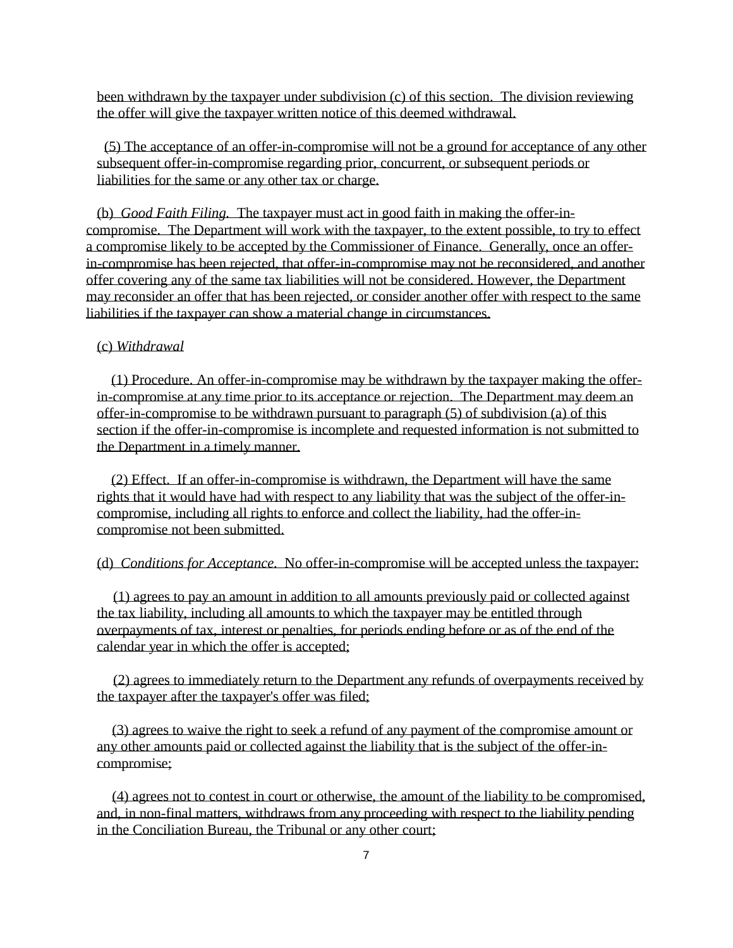been withdrawn by the taxpayer under subdivision (c) of this section. The division reviewing the offer will give the taxpayer written notice of this deemed withdrawal.

(5) The acceptance of an offer-in-compromise will not be a ground for acceptance of any other subsequent offer-in-compromise regarding prior, concurrent, or subsequent periods or liabilities for the same or any other tax or charge.

(b) *Good Faith Filing.* The taxpayer must act in good faith in making the offer-incompromise. The Department will work with the taxpayer, to the extent possible, to try to effect a compromise likely to be accepted by the Commissioner of Finance. Generally, once an offerin-compromise has been rejected, that offer-in-compromise may not be reconsidered, and another offer covering any of the same tax liabilities will not be considered. However, the Department may reconsider an offer that has been rejected, or consider another offer with respect to the same liabilities if the taxpayer can show a material change in circumstances.

### (c) *Withdrawal*

(1) Procedure. An offer-in-compromise may be withdrawn by the taxpayer making the offerin-compromise at any time prior to its acceptance or rejection. The Department may deem an offer-in-compromise to be withdrawn pursuant to paragraph (5) of subdivision (a) of this section if the offer-in-compromise is incomplete and requested information is not submitted to the Department in a timely manner.

(2) Effect. If an offer-in-compromise is withdrawn, the Department will have the same rights that it would have had with respect to any liability that was the subject of the offer-incompromise, including all rights to enforce and collect the liability, had the offer-incompromise not been submitted.

### (d) *Conditions for Acceptance.* No offer-in-compromise will be accepted unless the taxpayer:

(1) agrees to pay an amount in addition to all amounts previously paid or collected against the tax liability, including all amounts to which the taxpayer may be entitled through overpayments of tax, interest or penalties, for periods ending before or as of the end of the calendar year in which the offer is accepted;

(2) agrees to immediately return to the Department any refunds of overpayments received by the taxpayer after the taxpayer's offer was filed;

(3) agrees to waive the right to seek a refund of any payment of the compromise amount or any other amounts paid or collected against the liability that is the subject of the offer-incompromise;

(4) agrees not to contest in court or otherwise, the amount of the liability to be compromised, and, in non-final matters, withdraws from any proceeding with respect to the liability pending in the Conciliation Bureau, the Tribunal or any other court;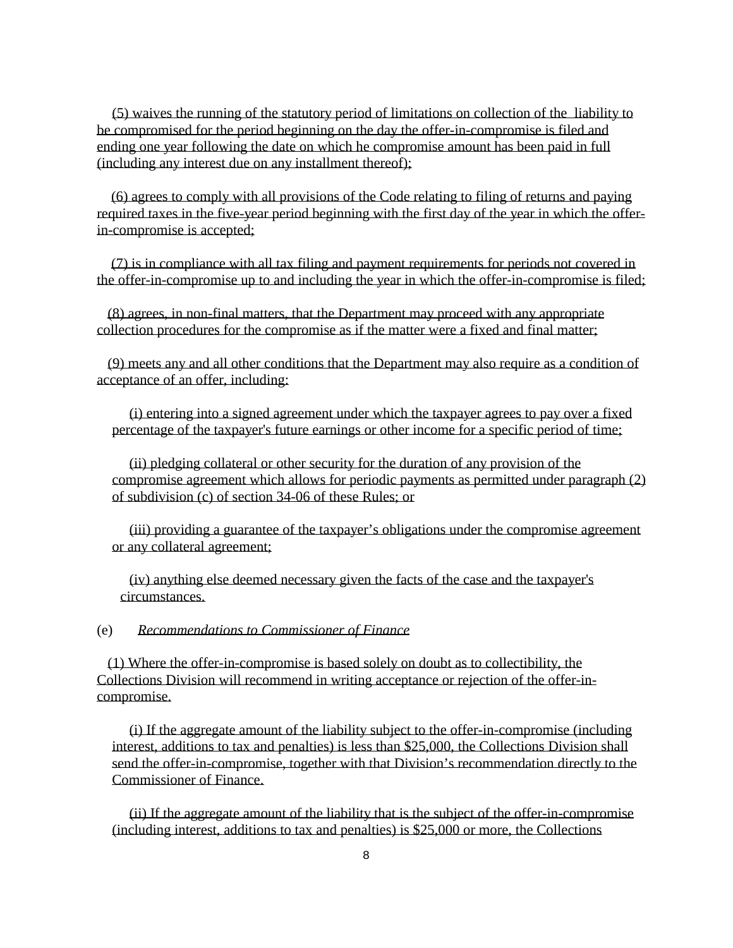(5) waives the running of the statutory period of limitations on collection of the liability to be compromised for the period beginning on the day the offer-in-compromise is filed and ending one year following the date on which he compromise amount has been paid in full (including any interest due on any installment thereof);

(6) agrees to comply with all provisions of the Code relating to filing of returns and paying required taxes in the five-year period beginning with the first day of the year in which the offerin-compromise is accepted;

(7) is in compliance with all tax filing and payment requirements for periods not covered in the offer-in-compromise up to and including the year in which the offer-in-compromise is filed;

(8) agrees, in non-final matters, that the Department may proceed with any appropriate collection procedures for the compromise as if the matter were a fixed and final matter;

(9) meets any and all other conditions that the Department may also require as a condition of acceptance of an offer, including:

(i) entering into a signed agreement under which the taxpayer agrees to pay over a fixed percentage of the taxpayer's future earnings or other income for a specific period of time;

(ii) pledging collateral or other security for the duration of any provision of the compromise agreement which allows for periodic payments as permitted under paragraph (2) of subdivision (c) of section 34-06 of these Rules; or

(iii) providing a guarantee of the taxpayer's obligations under the compromise agreement or any collateral agreement;

(iv) anything else deemed necessary given the facts of the case and the taxpayer's circumstances.

#### (e) *Recommendations to Commissioner of Finance*

(1) Where the offer-in-compromise is based solely on doubt as to collectibility, the Collections Division will recommend in writing acceptance or rejection of the offer-incompromise.

(i) If the aggregate amount of the liability subject to the offer-in-compromise (including interest, additions to tax and penalties) is less than \$25,000, the Collections Division shall send the offer-in-compromise, together with that Division's recommendation directly to the Commissioner of Finance.

(ii) If the aggregate amount of the liability that is the subject of the offer-in-compromise (including interest, additions to tax and penalties) is \$25,000 or more, the Collections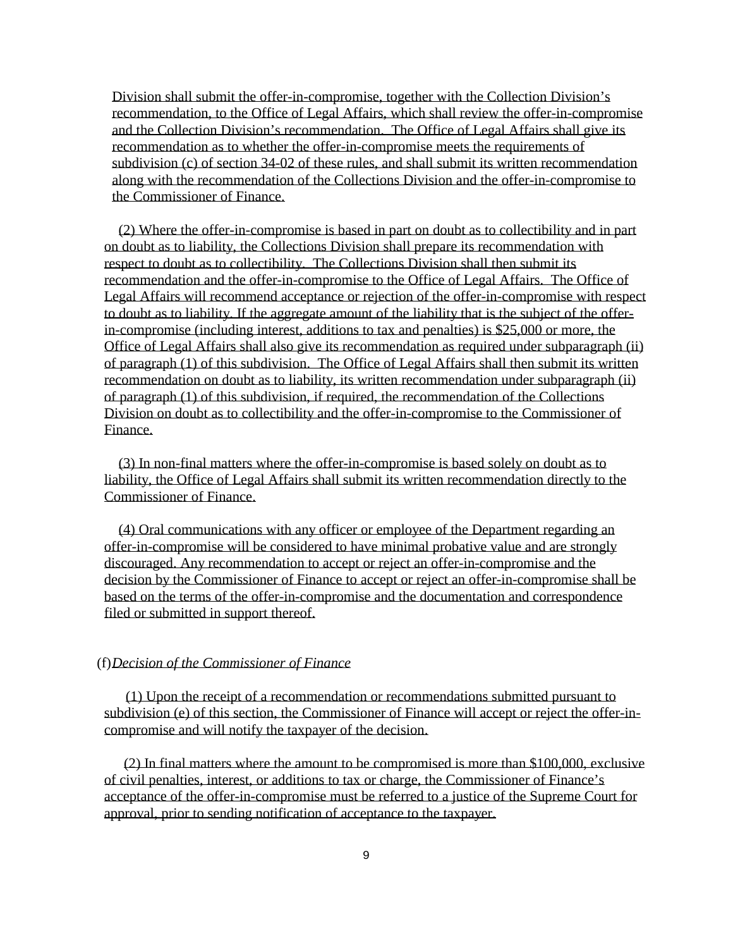Division shall submit the offer-in-compromise, together with the Collection Division's recommendation, to the Office of Legal Affairs, which shall review the offer-in-compromise and the Collection Division's recommendation. The Office of Legal Affairs shall give its recommendation as to whether the offer-in-compromise meets the requirements of subdivision (c) of section 34-02 of these rules, and shall submit its written recommendation along with the recommendation of the Collections Division and the offer-in-compromise to the Commissioner of Finance.

(2) Where the offer-in-compromise is based in part on doubt as to collectibility and in part on doubt as to liability, the Collections Division shall prepare its recommendation with respect to doubt as to collectibility. The Collections Division shall then submit its recommendation and the offer-in-compromise to the Office of Legal Affairs. The Office of Legal Affairs will recommend acceptance or rejection of the offer-in-compromise with respect to doubt as to liability. If the aggregate amount of the liability that is the subject of the offerin-compromise (including interest, additions to tax and penalties) is \$25,000 or more, the Office of Legal Affairs shall also give its recommendation as required under subparagraph (ii) of paragraph (1) of this subdivision. The Office of Legal Affairs shall then submit its written recommendation on doubt as to liability, its written recommendation under subparagraph (ii) of paragraph (1) of this subdivision, if required, the recommendation of the Collections Division on doubt as to collectibility and the offer-in-compromise to the Commissioner of Finance.

(3) In non-final matters where the offer-in-compromise is based solely on doubt as to liability, the Office of Legal Affairs shall submit its written recommendation directly to the Commissioner of Finance.

(4) Oral communications with any officer or employee of the Department regarding an offer-in-compromise will be considered to have minimal probative value and are strongly discouraged. Any recommendation to accept or reject an offer-in-compromise and the decision by the Commissioner of Finance to accept or reject an offer-in-compromise shall be based on the terms of the offer-in-compromise and the documentation and correspondence filed or submitted in support thereof.

#### (f) *Decision of the Commissioner of Finance*

(1) Upon the receipt of a recommendation or recommendations submitted pursuant to subdivision (e) of this section, the Commissioner of Finance will accept or reject the offer-incompromise and will notify the taxpayer of the decision.

(2) In final matters where the amount to be compromised is more than \$100,000, exclusive of civil penalties, interest, or additions to tax or charge, the Commissioner of Finance's acceptance of the offer-in-compromise must be referred to a justice of the Supreme Court for approval, prior to sending notification of acceptance to the taxpayer.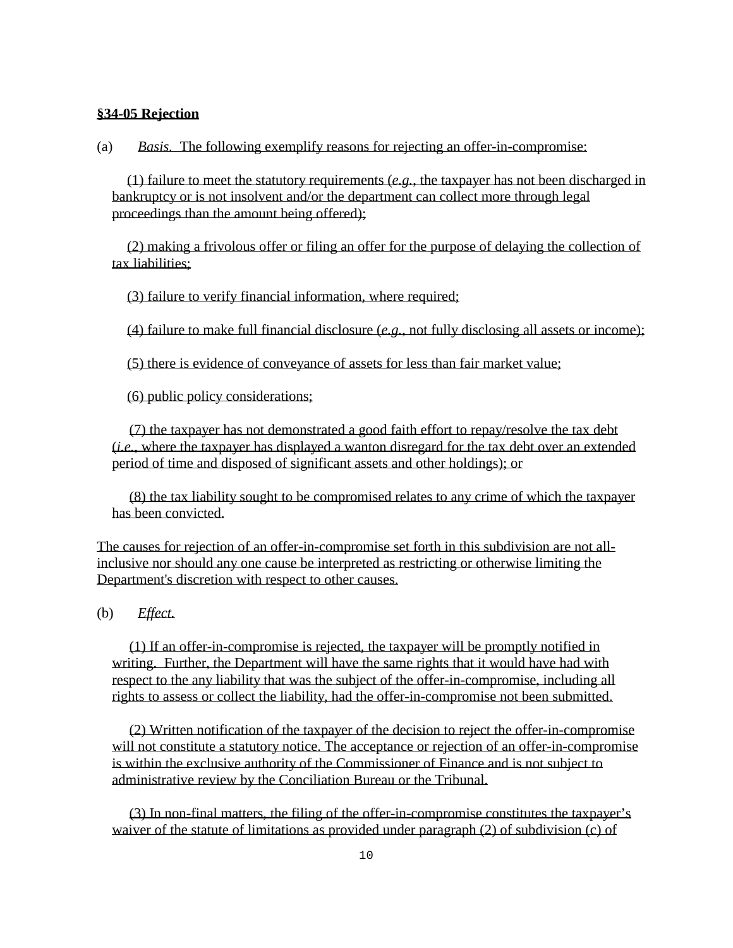## **§34-05 Rejection**

(a) *Basis.* The following exemplify reasons for rejecting an offer-in-compromise:

(1) failure to meet the statutory requirements (*e.g.*, the taxpayer has not been discharged in bankruptcy or is not insolvent and/or the department can collect more through legal proceedings than the amount being offered);

(2) making a frivolous offer or filing an offer for the purpose of delaying the collection of tax liabilities;

(3) failure to verify financial information, where required;

(4) failure to make full financial disclosure (*e.g.*, not fully disclosing all assets or income);

(5) there is evidence of conveyance of assets for less than fair market value;

(6) public policy considerations;

(7) the taxpayer has not demonstrated a good faith effort to repay/resolve the tax debt (*i.e.*, where the taxpayer has displayed a wanton disregard for the tax debt over an extended period of time and disposed of significant assets and other holdings); or

(8) the tax liability sought to be compromised relates to any crime of which the taxpayer has been convicted.

The causes for rejection of an offer-in-compromise set forth in this subdivision are not allinclusive nor should any one cause be interpreted as restricting or otherwise limiting the Department's discretion with respect to other causes.

(b) *Effect.* 

(1) If an offer-in-compromise is rejected, the taxpayer will be promptly notified in writing. Further, the Department will have the same rights that it would have had with respect to the any liability that was the subject of the offer-in-compromise, including all rights to assess or collect the liability, had the offer-in-compromise not been submitted.

(2) Written notification of the taxpayer of the decision to reject the offer-in-compromise will not constitute a statutory notice. The acceptance or rejection of an offer-in-compromise is within the exclusive authority of the Commissioner of Finance and is not subject to administrative review by the Conciliation Bureau or the Tribunal.

(3) In non-final matters, the filing of the offer-in-compromise constitutes the taxpayer's waiver of the statute of limitations as provided under paragraph (2) of subdivision (c) of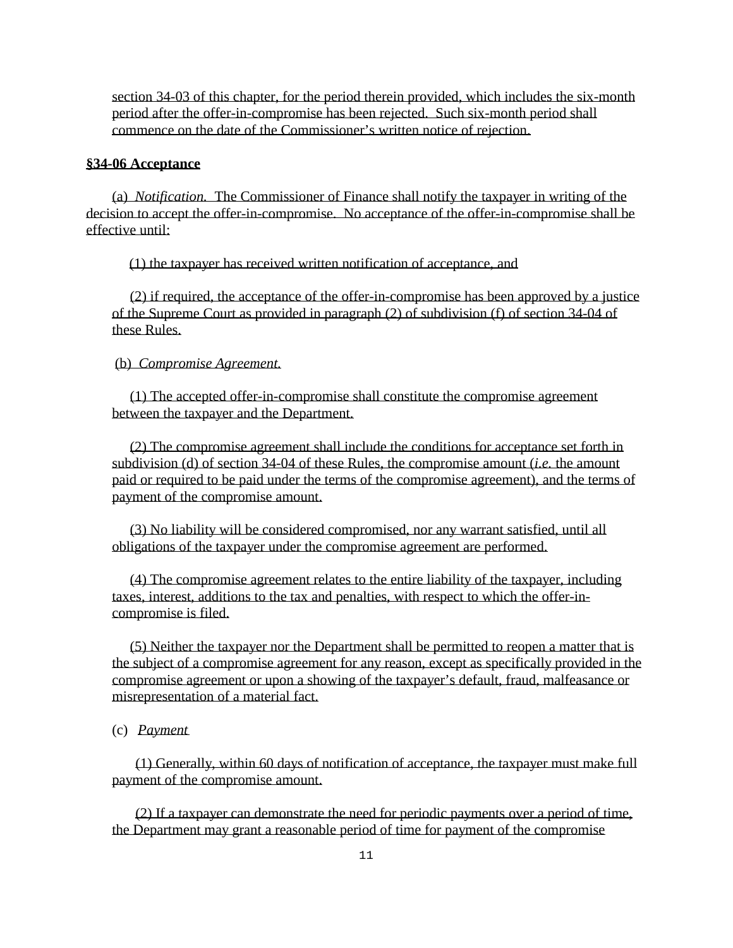section 34-03 of this chapter, for the period therein provided, which includes the six-month period after the offer-in-compromise has been rejected. Such six-month period shall commence on the date of the Commissioner's written notice of rejection.

#### **§34-06 Acceptance**

(a) *Notification.* The Commissioner of Finance shall notify the taxpayer in writing of the decision to accept the offer-in-compromise. No acceptance of the offer-in-compromise shall be effective until:

(1) the taxpayer has received written notification of acceptance, and

(2) if required, the acceptance of the offer-in-compromise has been approved by a justice of the Supreme Court as provided in paragraph (2) of subdivision (f) of section 34-04 of these Rules.

#### (b) *Compromise Agreement.*

(1) The accepted offer-in-compromise shall constitute the compromise agreement between the taxpayer and the Department.

(2) The compromise agreement shall include the conditions for acceptance set forth in subdivision (d) of section 34-04 of these Rules, the compromise amount (*i.e.* the amount paid or required to be paid under the terms of the compromise agreement), and the terms of payment of the compromise amount.

(3) No liability will be considered compromised, nor any warrant satisfied, until all obligations of the taxpayer under the compromise agreement are performed.

(4) The compromise agreement relates to the entire liability of the taxpayer, including taxes, interest, additions to the tax and penalties, with respect to which the offer-incompromise is filed.

(5) Neither the taxpayer nor the Department shall be permitted to reopen a matter that is the subject of a compromise agreement for any reason, except as specifically provided in the compromise agreement or upon a showing of the taxpayer's default, fraud, malfeasance or misrepresentation of a material fact.

(c) *Payment*

(1) Generally, within 60 days of notification of acceptance, the taxpayer must make full payment of the compromise amount.

(2) If a taxpayer can demonstrate the need for periodic payments over a period of time, the Department may grant a reasonable period of time for payment of the compromise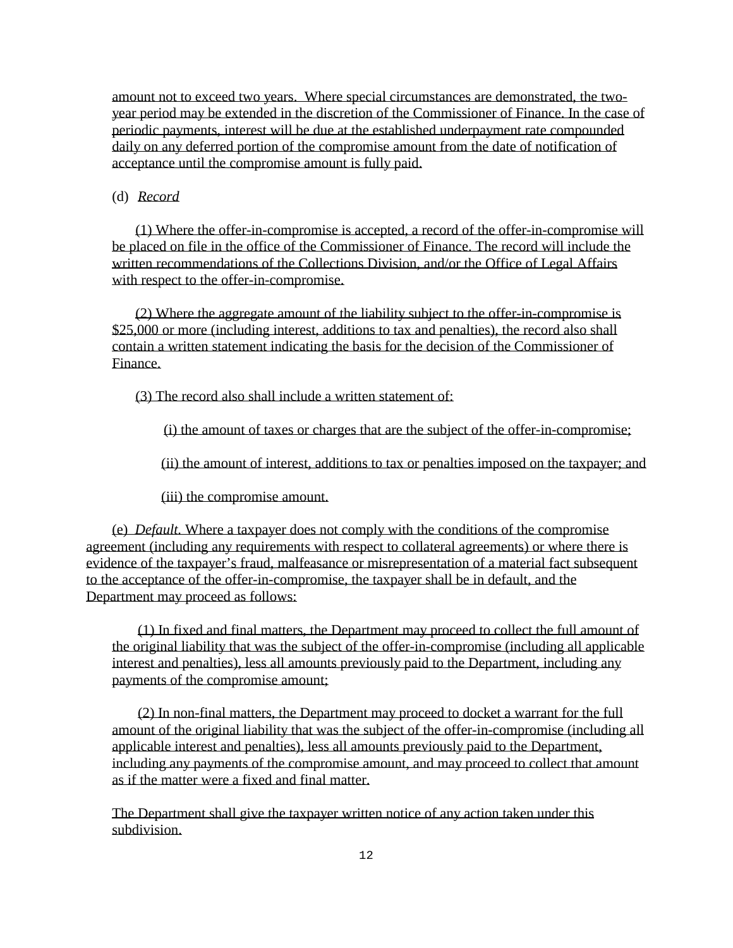amount not to exceed two years. Where special circumstances are demonstrated, the twoyear period may be extended in the discretion of the Commissioner of Finance. In the case of periodic payments, interest will be due at the established underpayment rate compounded daily on any deferred portion of the compromise amount from the date of notification of acceptance until the compromise amount is fully paid.

# (d) *Record*

(1) Where the offer-in-compromise is accepted, a record of the offer-in-compromise will be placed on file in the office of the Commissioner of Finance. The record will include the written recommendations of the Collections Division, and/or the Office of Legal Affairs with respect to the offer-in-compromise.

(2) Where the aggregate amount of the liability subject to the offer-in-compromise is \$25,000 or more (including interest, additions to tax and penalties), the record also shall contain a written statement indicating the basis for the decision of the Commissioner of Finance.

(3) The record also shall include a written statement of:

(i) the amount of taxes or charges that are the subject of the offer-in-compromise;

(ii) the amount of interest, additions to tax or penalties imposed on the taxpayer; and

(iii) the compromise amount.

(e) *Default.* Where a taxpayer does not comply with the conditions of the compromise agreement (including any requirements with respect to collateral agreements) or where there is evidence of the taxpayer's fraud, malfeasance or misrepresentation of a material fact subsequent to the acceptance of the offer-in-compromise, the taxpayer shall be in default, and the Department may proceed as follows:

(1) In fixed and final matters, the Department may proceed to collect the full amount of the original liability that was the subject of the offer-in-compromise (including all applicable interest and penalties), less all amounts previously paid to the Department, including any payments of the compromise amount;

(2) In non-final matters, the Department may proceed to docket a warrant for the full amount of the original liability that was the subject of the offer-in-compromise (including all applicable interest and penalties), less all amounts previously paid to the Department, including any payments of the compromise amount, and may proceed to collect that amount as if the matter were a fixed and final matter.

The Department shall give the taxpayer written notice of any action taken under this subdivision.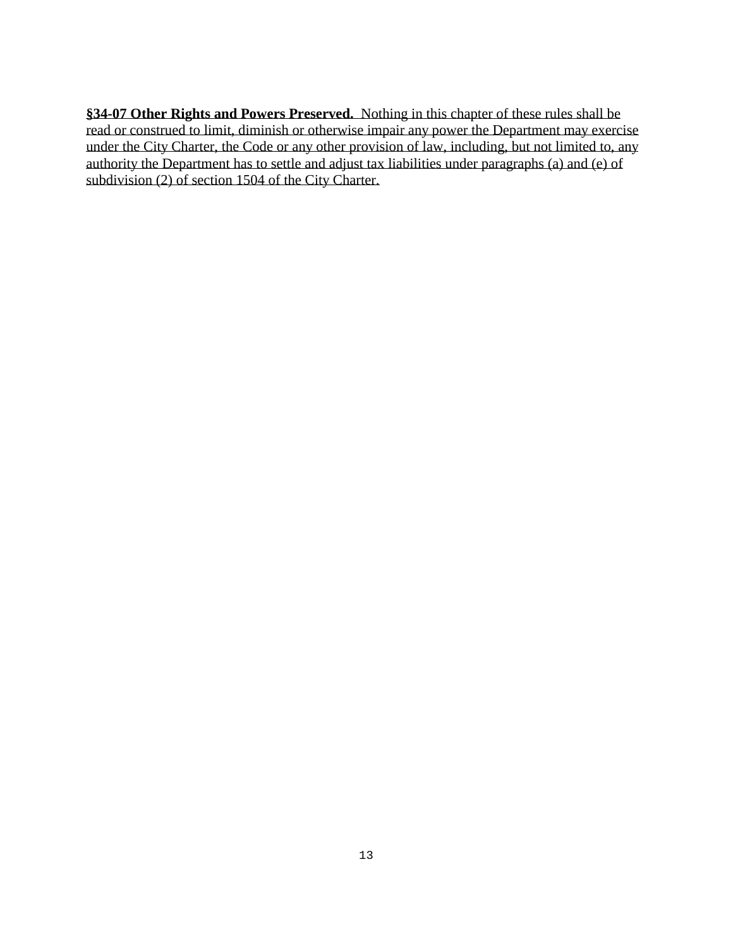**§34-07 Other Rights and Powers Preserved.** Nothing in this chapter of these rules shall be read or construed to limit, diminish or otherwise impair any power the Department may exercise under the City Charter, the Code or any other provision of law, including, but not limited to, any authority the Department has to settle and adjust tax liabilities under paragraphs (a) and (e) of subdivision (2) of section 1504 of the City Charter.